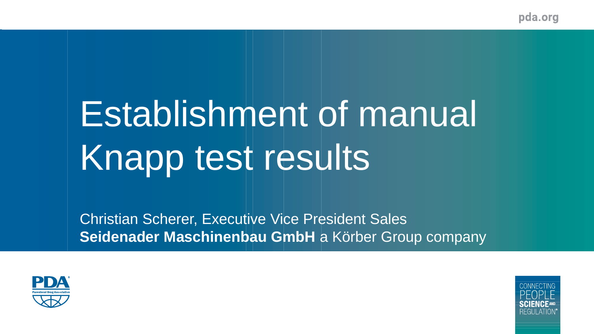# Establishment of manual Knapp test results



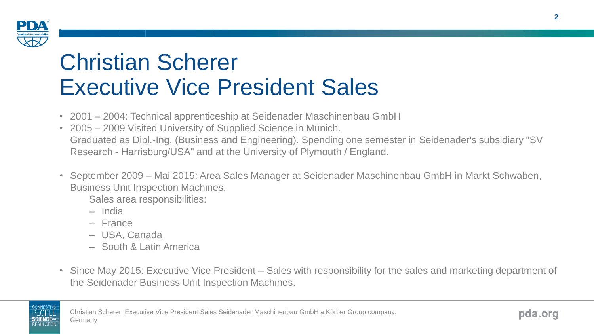

#### Christian Scherer Executive Vice President Sales

- 2001 2004: Technical apprenticeship at Seidenader Maschinenbau GmbH
- 2005 2009 Visited University of Supplied Science in Munich. Graduated as Dipl.-Ing. (Business and Engineering). Spending one semester in Seidenader's subsidiary "SV Research - Harrisburg/USA" and at the University of Plymouth / England.
- September 2009 Mai 2015: Area Sales Manager at Seidenader Maschinenbau GmbH in Markt Schwaben, Business Unit Inspection Machines.

Sales area responsibilities:

- India
- France
- USA, Canada
- South & Latin America
- Since May 2015: Executive Vice President Sales with responsibility for the sales and marketing department of the Seidenader Business Unit Inspection Machines.

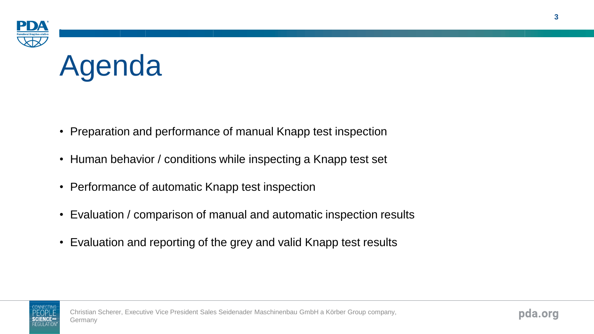



- Preparation and performance of manual Knapp test inspection
- Human behavior / conditions while inspecting a Knapp test set
- Performance of automatic Knapp test inspection
- Evaluation / comparison of manual and automatic inspection results
- Evaluation and reporting of the grey and valid Knapp test results

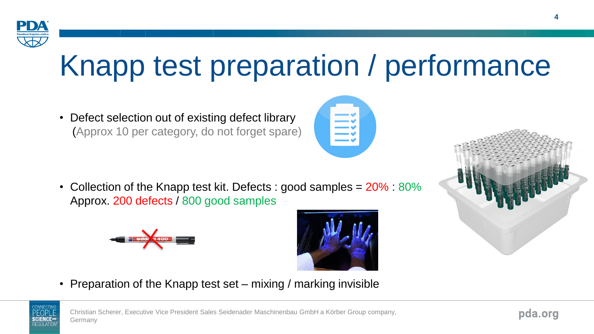

## Knapp test preparation / performance

• Defect selection out of existing defect library (Approx 10 per category, do not forget spare)

• Collection of the Knapp test kit. Defects : good samples  $= 20\%$  : 80% Approx. 200 defects / 800 good samples





• Preparation of the Knapp test set – mixing / marking invisible





pda.org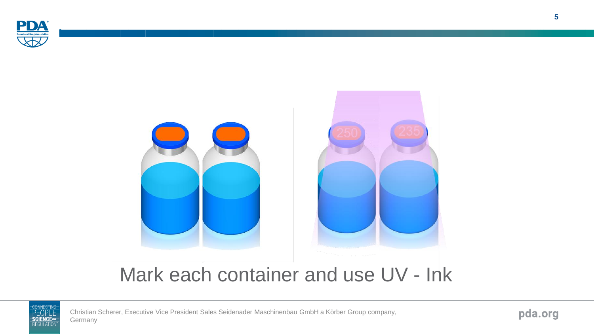



#### Mark each container and use UV - Ink



Christian Scherer, Executive Vice President Sales Seidenader Maschinenbau GmbH a Körber Group company, Germany

pda.org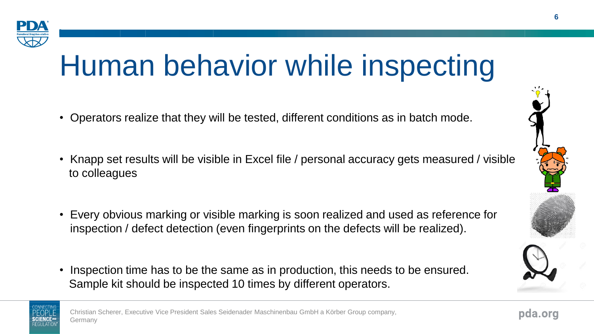

### Human behavior while inspecting

- Operators realize that they will be tested, different conditions as in batch mode.
- Knapp set results will be visible in Excel file / personal accuracy gets measured / visible to colleagues
- Every obvious marking or visible marking is soon realized and used as reference for inspection / defect detection (even fingerprints on the defects will be realized).
- Inspection time has to be the same as in production, this needs to be ensured. Sample kit should be inspected 10 times by different operators.

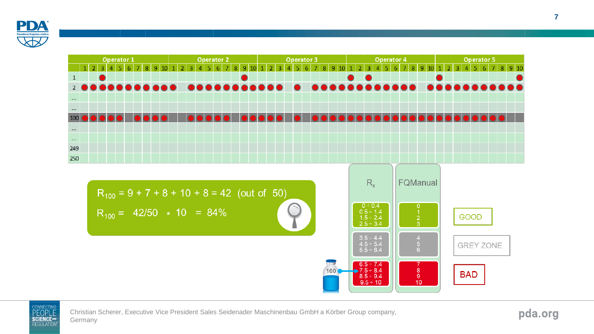





Christian Scherer, Executive Vice President Sales Seidenader Maschinenbau GmbH a Körber Group company, Germany

pda.org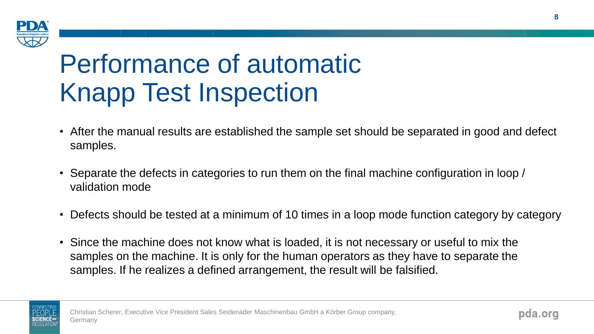

#### Performance of automatic Knapp Test Inspection

- After the manual results are established the sample set should be separated in good and defect samples.
- Separate the defects in categories to run them on the final machine configuration in loop / validation mode
- Defects should be tested at a minimum of 10 times in a loop mode function category by category
- Since the machine does not know what is loaded, it is not necessary or useful to mix the samples on the machine. It is only for the human operators as they have to separate the samples. If he realizes a defined arrangement, the result will be falsified.

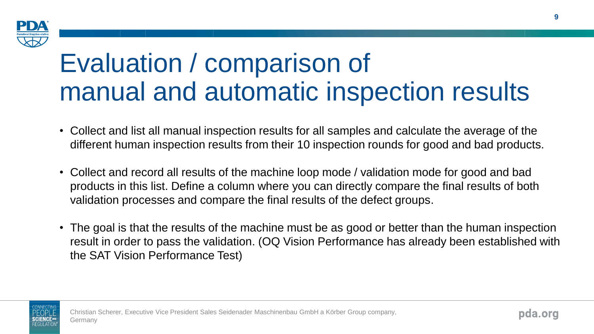

#### Evaluation / comparison of manual and automatic inspection results

- Collect and list all manual inspection results for all samples and calculate the average of the different human inspection results from their 10 inspection rounds for good and bad products.
- Collect and record all results of the machine loop mode / validation mode for good and bad products in this list. Define a column where you can directly compare the final results of both validation processes and compare the final results of the defect groups.
- The goal is that the results of the machine must be as good or better than the human inspection result in order to pass the validation. (OQ Vision Performance has already been established with the SAT Vision Performance Test)

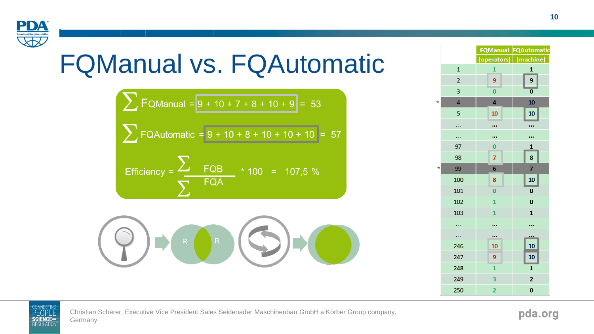

### FQManual vs. FQAutomatic

 $\sum$  FQManual =  $9 + 10 + 7 + 8 + 10 + 9 = 53$  $\sum$  FQAutomatic = 9 + 10 + 57  $-8+$ Efficiency  $=$  $\overline{C}$  FQB \* 100 = 107,5 % **FQA** 

|                         |                         | <b>FQManual FQAutomatic</b> |  |  |  |  |
|-------------------------|-------------------------|-----------------------------|--|--|--|--|
|                         | (operators)             | (machine)                   |  |  |  |  |
| $\overline{1}$          | 1                       | $\mathbf{1}$                |  |  |  |  |
| $\overline{\mathbf{c}}$ | 9                       | 9                           |  |  |  |  |
| 3                       | $\overline{0}$          | $\overline{\mathbf{0}}$     |  |  |  |  |
| 4                       | 4                       | 10                          |  |  |  |  |
| 5                       | 10                      | 10                          |  |  |  |  |
|                         |                         |                             |  |  |  |  |
|                         |                         |                             |  |  |  |  |
| 97                      | $\bf{0}$                | 1                           |  |  |  |  |
| 98                      | $\overline{7}$          | 8                           |  |  |  |  |
| 99                      | 6                       | 7                           |  |  |  |  |
| 100                     | 8                       | 10                          |  |  |  |  |
| 101                     | $\overline{\mathbf{0}}$ | $\bf{0}$                    |  |  |  |  |
| 102                     | $\overline{1}$          | $\bf{0}$                    |  |  |  |  |
| 103                     | $\mathbf{1}$            | $\mathbf{1}$                |  |  |  |  |
|                         |                         |                             |  |  |  |  |
|                         |                         |                             |  |  |  |  |
| 246                     | 10                      | 10                          |  |  |  |  |
| 247                     | 9                       | 10                          |  |  |  |  |
| 248                     | $\mathbf{1}$            | 1                           |  |  |  |  |
| 249                     | 3                       | $\overline{2}$              |  |  |  |  |
| 250                     | $\overline{\mathbf{2}}$ | $\bf{0}$                    |  |  |  |  |

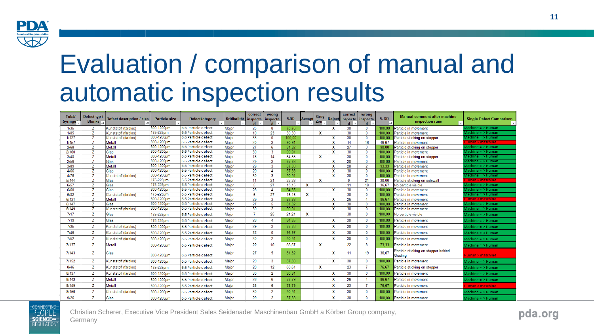

#### Evaluation / comparison of manual and automatic inspection results

| Tub#/<br><b>Syringe</b> | Defect typ /<br>Blanks $\overline{x}$ | Defect description / size   | <b>Particle size</b>     | Defectkategory                             | Kritikalität inspecte | correct  | wrong<br>inspecte      | %DR            | Accep | Grey<br>Zon  |        | correct<br><b>Reject inspecte</b> | <b>wrong</b><br>inspecte | $%$ DR          | <b>Manual comment after machine</b><br>inspection runs | <b>Single Defect Comparison</b>     |
|-------------------------|---------------------------------------|-----------------------------|--------------------------|--------------------------------------------|-----------------------|----------|------------------------|----------------|-------|--------------|--------|-----------------------------------|--------------------------|-----------------|--------------------------------------------------------|-------------------------------------|
| 1/35                    |                                       | <b>Kunststoff (farblos)</b> | 1800-1200um              | 6.6 Particle defect                        | Major                 | 25       | -8                     | 75.76          |       |              | x      | 30                                | $\Omega$                 | 100.00          | Particle in movement                                   | ichine = >Human                     |
| 1/85                    | 7                                     | Kunststoff (farblos)        | 175-225um                | 6.6 Particle defect                        | Major                 | 10       | 23                     | 30.30          |       | $\mathbf{x}$ |        | 30                                | $\Omega$                 | 100.00          | Particle in movement                                   | $laching = \geq Human$              |
| 1/127                   | $\overline{7}$                        | Kunststoff (farblos)        | 800-1200µm<br>800-1200um | 6.6 Particle defect                        | Major                 | 33       | -n                     | 100.00         |       |              | X      | 30                                | $\mathbf{0}$             | 100.00          | Particle sticking on stopper                           | $achine = >Human$                   |
| 1/157                   | z                                     | Metall                      | 800-1200um               | 6.6 Particle defect<br>6.6 Particle defect | Major                 | 30       | $\mathbf{3}$           | 90,91          |       |              | x      | 14                                | 16                       | 46.67           | Particle in movement                                   | ıman > maschine                     |
| 2/68<br>2/160           | $\overline{z}$<br>7                   | Metall<br>Glas              | 800-1200µm               | 6.6 Particle defect                        | Major                 | 27<br>30 | -6<br>R                | 81.82<br>90.91 |       |              | x<br>X | 27<br>30                          | 3<br>$\mathbf{0}$        | 90.00<br>100.00 | Particle sticking on stopper<br>Particle in movement   | achine = > Humar<br>achine = >Human |
| 3/48                    | 7                                     | Metall                      | 800-1200um               | 6.6 Particle defect                        | Major<br>Maior        | 18       | 14                     | 54.55          |       | $\mathbf x$  |        | 30                                | $\mathbf{0}$             | 100.00          | Particle sticking on stopper                           | ichine = >Humar                     |
| 3/56                    | 7                                     | Glas                        | 800-1200um               | 6.6 Particle defect                        | Major                 | 29       | $\mathbf{R}$           | 87.88          |       |              | x      | 30                                | $\Omega$                 | 100.00          | Particle in movement                                   | achine = > Human                    |
| 3/89                    | 7                                     | Metall                      | 800-1200um               | 6.6 Particle defect                        | Major                 | 29       | R                      | 87.88          |       |              | X      | 28                                | $\overline{2}$           | 93.33           | Particle in movement                                   | lachine = > Humar                   |
| 4/66                    |                                       | Glas                        | 800-1200um               | 6.6 Particle defect                        | Major                 | 29       |                        | 87.88          |       |              | x      | 30                                | $\mathbf{0}$             | 100.00          | Particle in movement                                   | achine = >Human                     |
| 4/76                    | $\overline{z}$                        | Kunststoff (farblos)        | 800-1200um               | 6.6 Particle defect                        | Major                 | 30       | R                      | 90.91          |       |              | x      | 30                                | $\bf{0}$                 | 100.00          | Particle in movement                                   | achine = >Humar                     |
| 5/144                   | 7                                     | Glas                        | 175-225um                | 6.6 Particle defect                        | Major                 | 11       | 21                     | 33.33          |       | X            |        | -9                                | 21                       | 30.00           | Particle sticking on sidewall                          | uman > maschine                     |
| 6/57                    |                                       | Glas                        | 175-225um                | 6.6 Particle defect                        | Major                 | 5        | 27                     | 15,15          | x     |              |        | 11                                | 19                       | 36.67           | No particle visible                                    | achine = > Humar                    |
| 6/60                    | $\overline{z}$                        | Glas                        | 800-1200µm               | 6.6 Particle defect                        | Major                 | 28       | $\boldsymbol{\Lambda}$ | 84.85          |       |              | x      | 30                                | $\bf{0}$                 | 100.00          | Particle in movement                                   | achine = > Humar                    |
| 6/82                    | z                                     | Kunststoff (farblos)        | 175-225um                | 6.6 Particle defect                        | Major                 | -5       | 27                     | 15.15          | x     |              |        | 30                                | $\mathbf{0}$             | 100.00          | Particle in movement                                   | achine = >Human                     |
| 6/131                   | 7                                     | Metall                      | 800-1200um               | 6.6 Particle defect                        | Major                 | 29       | $\mathbf{R}$           | 87,88          |       |              | x      | 26                                | Δ                        | 86.67           | Particle in movement                                   | uman > maschine                     |
| 6/147                   | 7                                     | Glas                        | 800-1200um               | 6.6 Particle defect                        | Major                 | 27       | 5                      | 81.82          |       |              | x      | 30                                | $\Omega$                 | 100.00          | Particle in movement                                   | $achine = > Human$                  |
| 6/149                   | 7                                     | Kunststoff (farblos)        | 800-1200um               | 6.6 Particle defect                        | Maior                 | 30       | $\overline{2}$         | 90.91          |       |              | X      | 30                                | $\mathbf{0}$             | 100.00          | Particle in movement                                   | achine = >Human                     |
| 7/17                    | z                                     | Glas                        | 175-225um                | 6.6 Particle defect                        | Major                 | 7        | 25                     | 21.21          | x     |              |        | 30                                | $\mathbf{0}$             | 100.00          | No particle visible                                    | Machine > Human                     |
| 7/19                    | z                                     | Glas                        | 175-225um                | 6.6 Particle defect                        | Maior                 | 28       | $\boldsymbol{\Lambda}$ | 84 85          |       |              | X      | 30                                | $\mathbf{0}$             | 100 00          | Particle in movement                                   | Machine > Human                     |
| 7/35                    | z                                     | Kunststoff (farblos)        | 800-1200µm               | 6.6 Particle defect                        | Major                 | 29       | 3                      | 87.88          |       |              | x      | 30                                | $\mathbf{0}$             | 100.00          | Particle in movement                                   | Machine = > Human                   |
| 7/46                    | $\overline{z}$                        | Kunststoff (farblos)        | 800-1200µm               | 6.6 Particle defect                        | Major                 | 32       | $\sqrt{2}$             | 96.97          |       |              | X      | 30                                | $\Omega$                 | 100.00          | Particle in movement                                   | $Machine = > Human$                 |
| 7/52                    | z                                     | Kunststoff (farblos)        | 800-1200µm               | 6.6 Particle defect                        | Major                 | 30       | 2                      | 90.91          |       |              | x      | 30                                | $\Omega$                 | 100.00          | Particle in movement                                   | Aachine = > Human                   |
| 7/137                   | $\mathbf{z}$                          | Metall                      | 800-1200um               | 6.6 Particle defect                        | Major                 | 22       | 10                     | 66.67          |       | X            |        | 22                                | 8                        | 73.33           | Particle in movement                                   | Aachine = > Human                   |
| 7/143                   | z                                     | Glas                        | 800-1200um               | 6.6 Particle defect                        | Major                 | 27       | Æ                      | 81.82          |       |              | x      | 11                                | 19                       | 36.67           | Particle sticking on stopper behind<br>Grading         | Iuman > maschine                    |
| 7/152                   | z                                     | Kunststoff (farblos)        | 800-1200um               | 6.6 Particle defect                        | Maior                 | 29       | в                      | 87.88          |       |              | x      | 30                                | $\bf{0}$                 | 100.00          | Particle in movement                                   | $Machine = > Human$                 |
| 8/46                    | z                                     | Kunststoff (farblos)        | 175-225um                | 6.6 Particle defect                        | Major                 | 20       | 12                     | 60.61          |       | $\mathbf x$  |        | 23                                | 7                        | 76.67           | Particle sticking on stopper                           | Machine = >Human                    |
| 8/137                   | 7                                     | Kunststoff (farblos)        | 800-1200µm               | 6.6 Particle defect                        | Major                 | 30       | $\overline{2}$         | 90.91          |       |              | x      | 30                                | $\mathbf{0}$             | 100.00          | Particle in movement                                   | Aachine = > Human                   |
| 8/143                   | z                                     | Metall                      | 800-1200um               | 6.6 Particle defect                        | Major                 | 26       | £                      | 78.79          |       |              | x      | 26                                | 4                        | 86.67           | Particle in movement                                   | lachine = >Human                    |
| 8/149                   | z                                     | Metall                      | 800-1200µm               | 6.6 Particle defect                        | Major                 | 26       | 6                      | 78.79          |       |              | x      | 23                                | 7                        | 76.67           | Particle in movement                                   | luman > maschine                    |
| 8/156                   | z                                     | Kunststoff (farblos)        | 800-1200um               | 6.6 Particle defect                        | Major                 | 30       | -2                     | 90.91          |       |              | x      | 30                                | $\mathbf{0}$             | 100.00          | Particle in movement                                   | Machine > Human                     |
| 9/26                    | z                                     | Glas                        | 800-1200um               | 6.6 Particle defect                        | Major                 | 29       | 2                      | 87.88          |       |              | x      | 30                                | $\Omega$                 | 100.00          | Particle in movement                                   | $Machine = > Human$                 |



Germany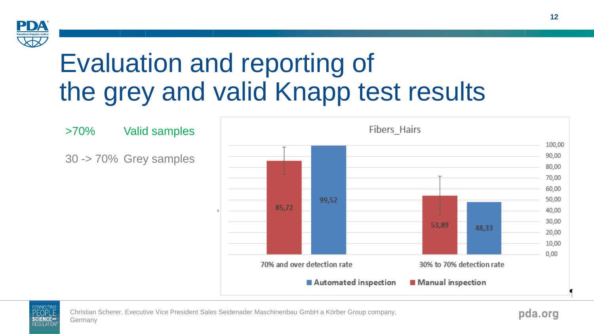

#### Evaluation and reporting of the grey and valid Knapp test results